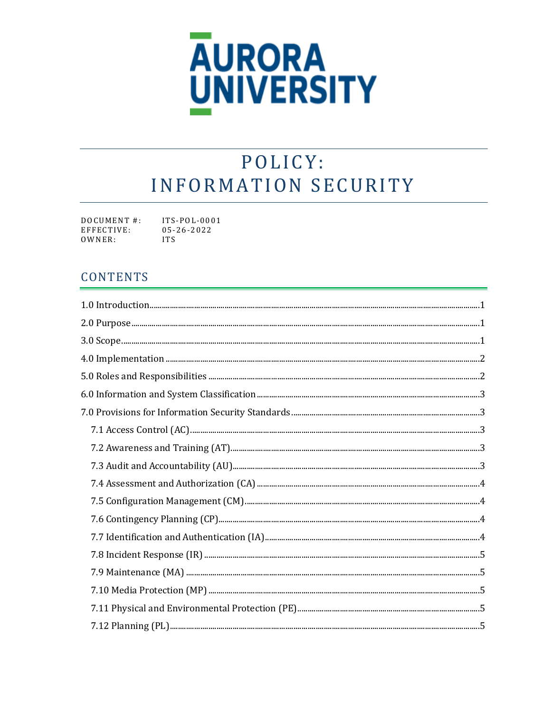

# POLICY: **INFORMATION SECURITY**

| DOCUMENT #: | $ITS-POL-0001$   |
|-------------|------------------|
| EFFECTIVE:  | $05 - 26 - 2022$ |
| OWNER:      | <b>TTS</b>       |

### **CONTENTS**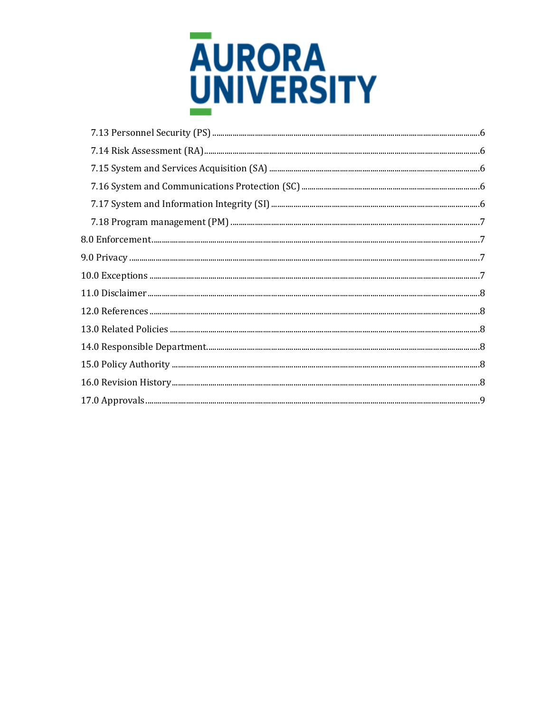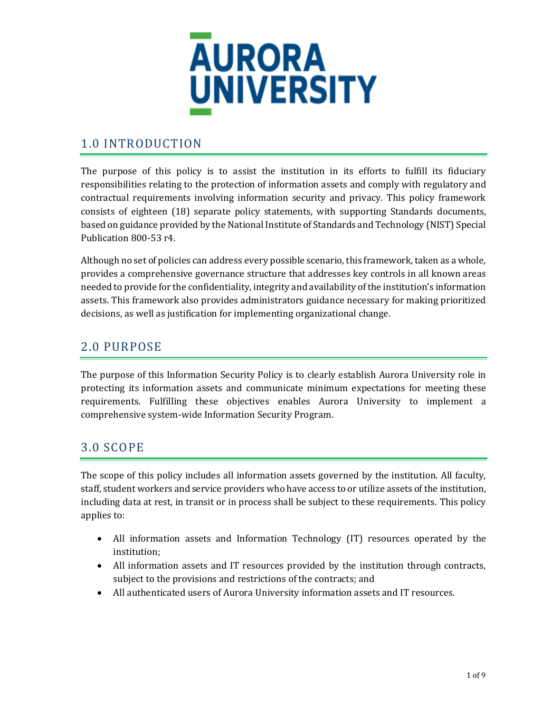

# <span id="page-2-0"></span>1.0 INTRODUCTION

The purpose of this policy is to assist the institution in its efforts to fulfill its fiduciary responsibilities relating to the protection of information assets and comply with regulatory and contractual requirements involving information security and privacy. This policy framework consists of eighteen (18) separate policy statements, with supporting Standards documents, based on guidance provided by the National Institute of Standards and Technology (NIST) Special Publication 800-53 r4.

Although no set of policies can address every possible scenario, this framework, taken as a whole, provides a comprehensive governance structure that addresses key controls in all known areas needed to provide for the confidentiality, integrity and availability of the institution's information assets. This framework also provides administrators guidance necessary for making prioritized decisions, as well as justification for implementing organizational change.

# <span id="page-2-1"></span>2.0 PURPOSE

The purpose of this Information Security Policy is to clearly establish Aurora University role in protecting its information assets and communicate minimum expectations for meeting these requirements. Fulfilling these objectives enables Aurora University to implement a comprehensive system-wide Information Security Program.

### <span id="page-2-2"></span>3.0 SCOPE

The scope of this policy includes all information assets governed by the institution. All faculty, staff, student workers and service providers who have access to or utilize assets of the institution, including data at rest, in transit or in process shall be subject to these requirements. This policy applies to:

- All information assets and Information Technology (IT) resources operated by the institution;
- All information assets and IT resources provided by the institution through contracts, subject to the provisions and restrictions of the contracts; and
- All authenticated users of Aurora University information assets and IT resources.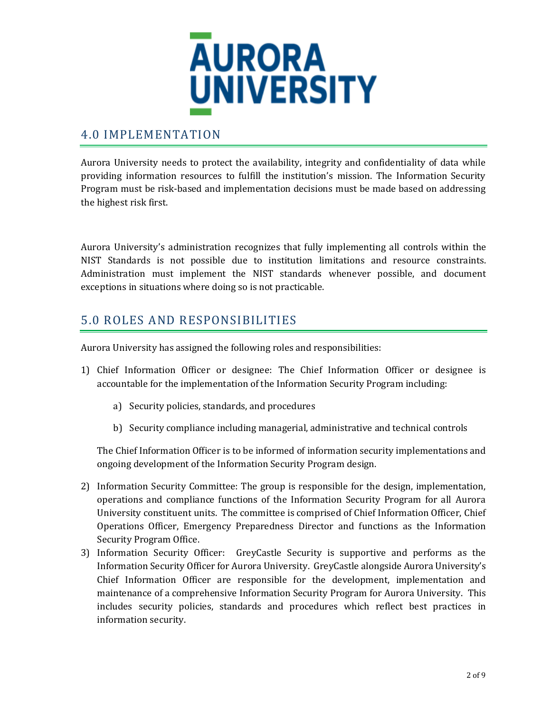

### <span id="page-3-0"></span>4.0 IMPLEMENTATION

Aurora University needs to protect the availability, integrity and confidentiality of data while providing information resources to fulfill the institution's mission. The Information Security Program must be risk-based and implementation decisions must be made based on addressing the highest risk first.

Aurora University's administration recognizes that fully implementing all controls within the NIST Standards is not possible due to institution limitations and resource constraints. Administration must implement the NIST standards whenever possible, and document exceptions in situations where doing so is not practicable.

# <span id="page-3-1"></span>5.0 ROLES AND RESPONSIBILITIES

Aurora University has assigned the following roles and responsibilities:

- 1) Chief Information Officer or designee: The Chief Information Officer or designee is accountable for the implementation of the Information Security Program including:
	- a) Security policies, standards, and procedures
	- b) Security compliance including managerial, administrative and technical controls

The Chief Information Officer is to be informed of information security implementations and ongoing development of the Information Security Program design.

- 2) Information Security Committee: The group is responsible for the design, implementation, operations and compliance functions of the Information Security Program for all Aurora University constituent units. The committee is comprised of Chief Information Officer, Chief Operations Officer, Emergency Preparedness Director and functions as the Information Security Program Office.
- 3) Information Security Officer: GreyCastle Security is supportive and performs as the Information Security Officer for Aurora University. GreyCastle alongside Aurora University's Chief Information Officer are responsible for the development, implementation and maintenance of a comprehensive Information Security Program for Aurora University. This includes security policies, standards and procedures which reflect best practices in information security.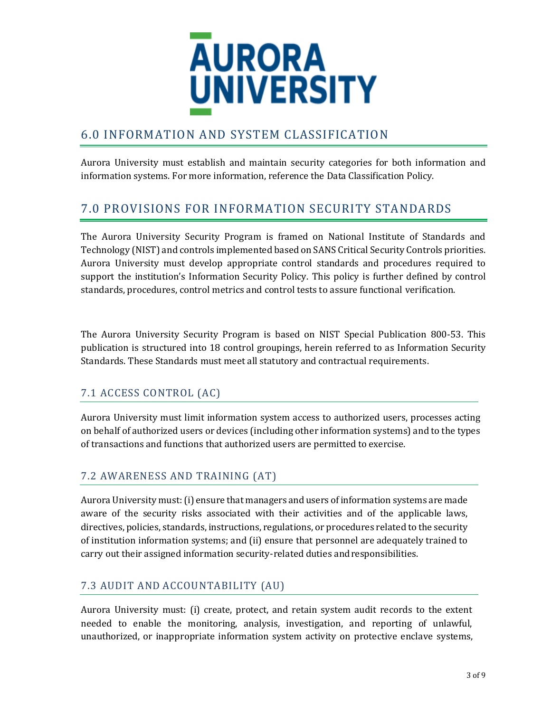

# <span id="page-4-0"></span>6.0 INFORMATION AND SYSTEM CLASSIFICATION

Aurora University must establish and maintain security categories for both information and information systems. For more information, reference the Data Classification Policy.

# <span id="page-4-1"></span>7.0 PROVISIONS FOR INFORMATION SECURITY STANDARDS

The Aurora University Security Program is framed on National Institute of Standards and Technology (NIST) and controls implemented based on SANS Critical Security Controls priorities. Aurora University must develop appropriate control standards and procedures required to support the institution's Information Security Policy. This policy is further defined by control standards, procedures, control metrics and control tests to assure functional verification.

The Aurora University Security Program is based on NIST Special Publication 800-53. This publication is structured into 18 control groupings, herein referred to as Information Security Standards. These Standards must meet all statutory and contractual requirements.

#### <span id="page-4-2"></span>7.1 ACCESS CONTROL (AC)

Aurora University must limit information system access to authorized users, processes acting on behalf of authorized users or devices (including other information systems) and to the types of transactions and functions that authorized users are permitted to exercise.

#### <span id="page-4-3"></span>7.2 AWARENESS AND TRAINING (AT)

Aurora University must: (i) ensure that managers and users of information systems are made aware of the security risks associated with their activities and of the applicable laws, directives, policies, standards, instructions, regulations, or procedures related to the security of institution information systems; and (ii) ensure that personnel are adequately trained to carry out their assigned information security-related duties andresponsibilities.

#### <span id="page-4-4"></span>7.3 AUDIT AND ACCOUNTABILITY (AU)

Aurora University must: (i) create, protect, and retain system audit records to the extent needed to enable the monitoring, analysis, investigation, and reporting of unlawful, unauthorized, or inappropriate information system activity on protective enclave systems,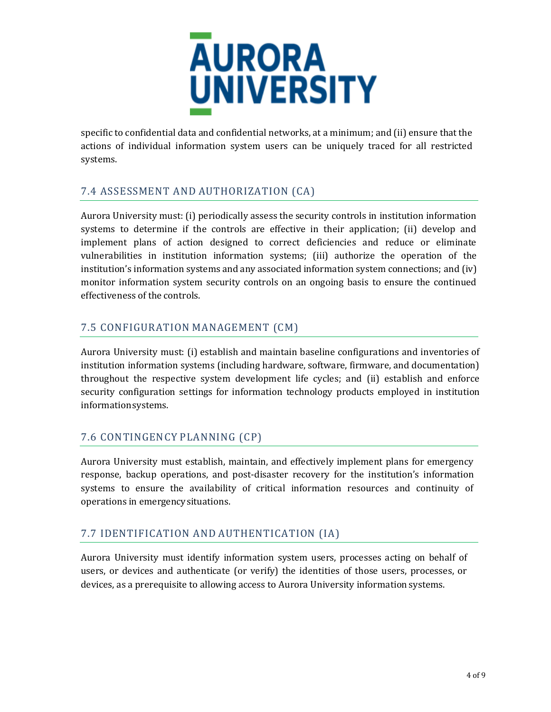

specific to confidential data and confidential networks, at a minimum; and (ii) ensure that the actions of individual information system users can be uniquely traced for all restricted systems.

#### <span id="page-5-0"></span>7.4 ASSESSMENT AND AUTHORIZATION (CA)

Aurora University must: (i) periodically assess the security controls in institution information systems to determine if the controls are effective in their application; (ii) develop and implement plans of action designed to correct deficiencies and reduce or eliminate vulnerabilities in institution information systems; (iii) authorize the operation of the institution's information systems and any associated information system connections; and (iv) monitor information system security controls on an ongoing basis to ensure the continued effectiveness of the controls.

#### <span id="page-5-1"></span>7.5 CONFIGURATION MANAGEMENT (CM)

Aurora University must: (i) establish and maintain baseline configurations and inventories of institution information systems (including hardware, software, firmware, and documentation) throughout the respective system development life cycles; and (ii) establish and enforce security configuration settings for information technology products employed in institution information systems.

#### <span id="page-5-2"></span>7.6 CONTINGENCY PLANNING (CP)

Aurora University must establish, maintain, and effectively implement plans for emergency response, backup operations, and post-disaster recovery for the institution's information systems to ensure the availability of critical information resources and continuity of operations in emergencysituations.

#### <span id="page-5-3"></span>7.7 IDENTIFICATION AND AUTHENTICATION (IA)

Aurora University must identify information system users, processes acting on behalf of users, or devices and authenticate (or verify) the identities of those users, processes, or devices, as a prerequisite to allowing access to Aurora University information systems.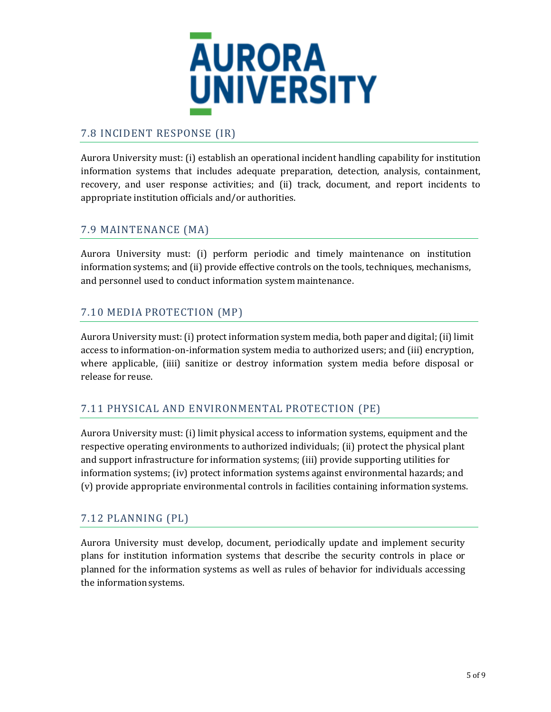

#### <span id="page-6-0"></span>7.8 INCIDENT RESPONSE (IR)

Aurora University must: (i) establish an operational incident handling capability for institution information systems that includes adequate preparation, detection, analysis, containment, recovery, and user response activities; and (ii) track, document, and report incidents to appropriate institution officials and/or authorities.

#### <span id="page-6-1"></span>7.9 MAINTENANCE (MA)

Aurora University must: (i) perform periodic and timely maintenance on institution information systems; and (ii) provide effective controls on the tools, techniques, mechanisms, and personnel used to conduct information system maintenance.

#### <span id="page-6-2"></span>7.10 MEDIA PROTECTION (MP)

Aurora University must: (i) protect information system media, both paper and digital; (ii) limit access to information-on-information system media to authorized users; and (iii) encryption, where applicable, (iiii) sanitize or destroy information system media before disposal or release for reuse.

#### <span id="page-6-3"></span>7.11 PHYSICAL AND ENVIRONMENTAL PROTECTION (PE)

Aurora University must: (i) limit physical access to information systems, equipment and the respective operating environments to authorized individuals; (ii) protect the physical plant and support infrastructure for information systems; (iii) provide supporting utilities for information systems; (iv) protect information systems against environmental hazards; and (v) provide appropriate environmental controls in facilities containing information systems.

#### <span id="page-6-4"></span>7.12 PLANNING (PL)

Aurora University must develop, document, periodically update and implement security plans for institution information systems that describe the security controls in place or planned for the information systems as well as rules of behavior for individuals accessing the information systems.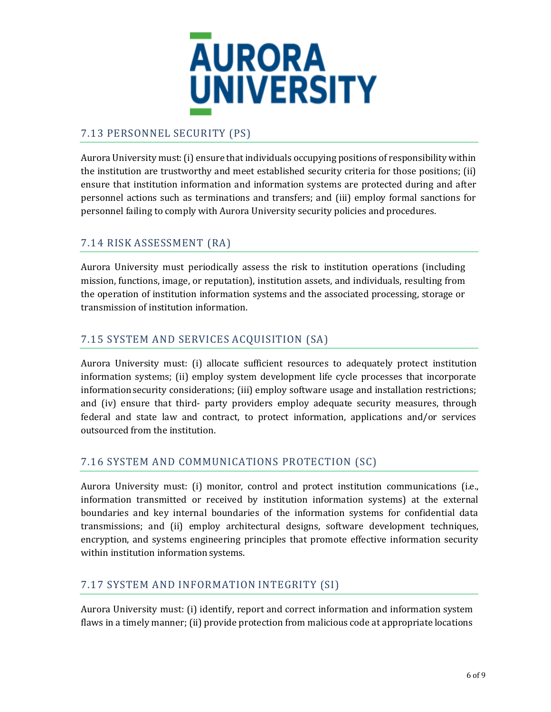

#### <span id="page-7-0"></span>7.13 PERSONNEL SECURITY (PS)

Aurora University must: (i) ensure that individuals occupying positions of responsibility within the institution are trustworthy and meet established security criteria for those positions; (ii) ensure that institution information and information systems are protected during and after personnel actions such as terminations and transfers; and (iii) employ formal sanctions for personnel failing to comply with Aurora University security policies and procedures.

#### <span id="page-7-1"></span>7.14 RISK ASSESSMENT (RA)

Aurora University must periodically assess the risk to institution operations (including mission, functions, image, or reputation), institution assets, and individuals, resulting from the operation of institution information systems and the associated processing, storage or transmission of institution information.

#### <span id="page-7-2"></span>7.15 SYSTEM AND SERVICES ACQUISITION (SA)

Aurora University must: (i) allocate sufficient resources to adequately protect institution information systems; (ii) employ system development life cycle processes that incorporate information security considerations; (iii) employ software usage and installation restrictions; and (iv) ensure that third- party providers employ adequate security measures, through federal and state law and contract, to protect information, applications and/or services outsourced from the institution.

#### <span id="page-7-3"></span>7.16 SYSTEM AND COMMUNICATIONS PROTECTION (SC)

Aurora University must: (i) monitor, control and protect institution communications (i.e., information transmitted or received by institution information systems) at the external boundaries and key internal boundaries of the information systems for confidential data transmissions; and (ii) employ architectural designs, software development techniques, encryption, and systems engineering principles that promote effective information security within institution information systems.

#### <span id="page-7-4"></span>7.17 SYSTEM AND INFORMATION INTEGRITY (SI)

Aurora University must: (i) identify, report and correct information and information system flaws in a timely manner; (ii) provide protection from malicious code at appropriate locations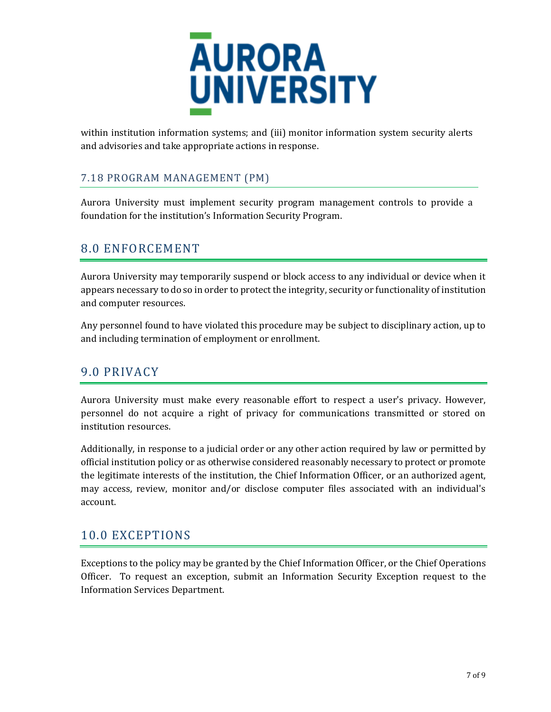

within institution information systems; and (iii) monitor information system security alerts and advisories and take appropriate actions in response.

### <span id="page-8-0"></span>7.18 PROGRAM MANAGEMENT (PM)

Aurora University must implement security program management controls to provide a foundation for the institution's Information Security Program.

# <span id="page-8-1"></span>8.0 ENFORCEMENT

Aurora University may temporarily suspend or block access to any individual or device when it appears necessary to do so in order to protect the integrity, security or functionality of institution and computer resources.

Any personnel found to have violated this procedure may be subject to disciplinary action, up to and including termination of employment or enrollment.

### <span id="page-8-2"></span>9.0 PRIVACY

Aurora University must make every reasonable effort to respect a user's privacy. However, personnel do not acquire a right of privacy for communications transmitted or stored on institution resources.

Additionally, in response to a judicial order or any other action required by law or permitted by official institution policy or as otherwise considered reasonably necessary to protect or promote the legitimate interests of the institution, the Chief Information Officer, or an authorized agent, may access, review, monitor and/or disclose computer files associated with an individual's account.

### <span id="page-8-3"></span>10.0 EXCEPTIONS

Exceptions to the policy may be granted by the Chief Information Officer, or the Chief Operations Officer. To request an exception, submit an Information Security Exception request to the Information Services Department.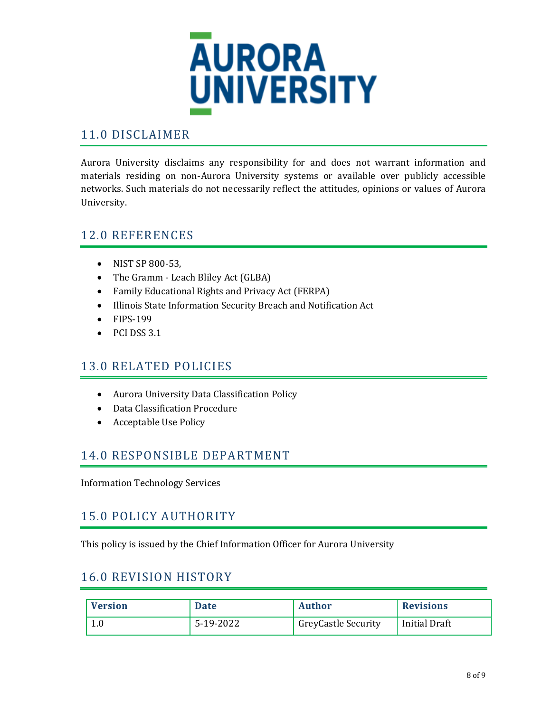

### <span id="page-9-0"></span>11.0 DISCLAIMER

Aurora University disclaims any responsibility for and does not warrant information and materials residing on non-Aurora University systems or available over publicly accessible networks. Such materials do not necessarily reflect the attitudes, opinions or values of Aurora University.

### <span id="page-9-1"></span>12.0 REFERENCES

- NIST SP 800-53.
- The Gramm Leach Bliley Act (GLBA)
- Family Educational Rights and Privacy Act (FERPA)
- Illinois State Information Security Breach and Notification Act
- FIPS-199
- $\bullet$  PCI DSS 3.1

#### <span id="page-9-2"></span>13.0 RELATED POLICIES

- Aurora University Data Classification Policy
- Data Classification Procedure
- Acceptable Use Policy

### <span id="page-9-3"></span>14.0 RESPONSIBLE DEPARTMENT

Information Technology Services

### <span id="page-9-4"></span>15.0 POLICY AUTHORITY

This policy is issued by the Chief Information Officer for Aurora University

### <span id="page-9-5"></span>16.0 REVISION HISTORY

| <b>Version</b> | <b>Date</b> | Author                     | <b>Revisions</b>     |
|----------------|-------------|----------------------------|----------------------|
| 1.0            | 5-19-2022   | <b>GreyCastle Security</b> | <b>Initial Draft</b> |